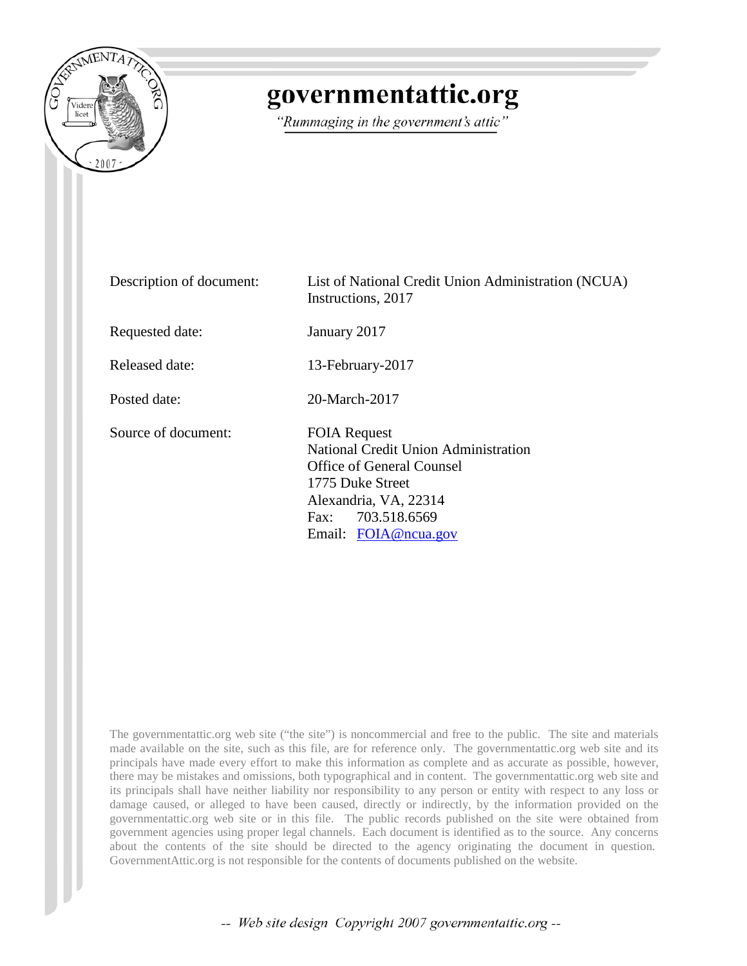

## governmentattic.org

"Rummaging in the government's attic"

| Description of document: | List of National Credit Union Administration (NCUA)<br>Instructions, 2017                                                                                                                        |
|--------------------------|--------------------------------------------------------------------------------------------------------------------------------------------------------------------------------------------------|
| Requested date:          | January 2017                                                                                                                                                                                     |
| Released date:           | 13-February-2017                                                                                                                                                                                 |
| Posted date:             | 20-March-2017                                                                                                                                                                                    |
| Source of document:      | <b>FOIA Request</b><br><b>National Credit Union Administration</b><br><b>Office of General Counsel</b><br>1775 Duke Street<br>Alexandria, VA, 22314<br>Fax: 703.518.6569<br>Email: FOIA@ncua.gov |

The governmentattic.org web site ("the site") is noncommercial and free to the public. The site and materials made available on the site, such as this file, are for reference only. The governmentattic.org web site and its principals have made every effort to make this information as complete and as accurate as possible, however, there may be mistakes and omissions, both typographical and in content. The governmentattic.org web site and its principals shall have neither liability nor responsibility to any person or entity with respect to any loss or damage caused, or alleged to have been caused, directly or indirectly, by the information provided on the governmentattic.org web site or in this file. The public records published on the site were obtained from government agencies using proper legal channels. Each document is identified as to the source. Any concerns about the contents of the site should be directed to the agency originating the document in question. GovernmentAttic.org is not responsible for the contents of documents published on the website.

-- Web site design Copyright 2007 governmentattic.org --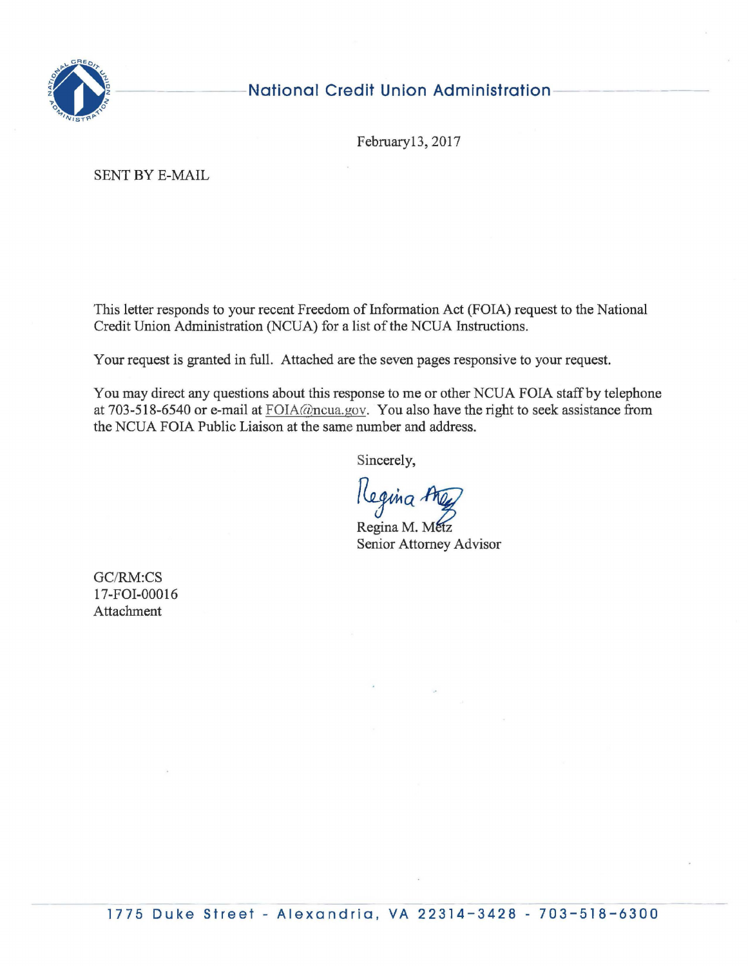

## **National Credit Union Administration**

February13, 2017

SENT BY E-MAIL

This letter responds to your recent Freedom of Information Act (FOIA) request to the National Credit Union Administration (NCUA) for a list of the NCUA Instructions.

Your request is granted in full. Attached are the seven pages responsive to your request.

You may direct any questions about this response to me or other NCUA FOIA staff by telephone at 703-518-6540 or e-mail at FOIA@ncua.gov. You also have the right to seek assistance from the NCUA FOIA Public Liaison at the same number and address.

Sincerely,

Kegina A

w<br>Regina M. Metz<br>Senior Attorney Advi Senior Attorney Advisor

GC/RM:CS 17-FOI-00016 Attachment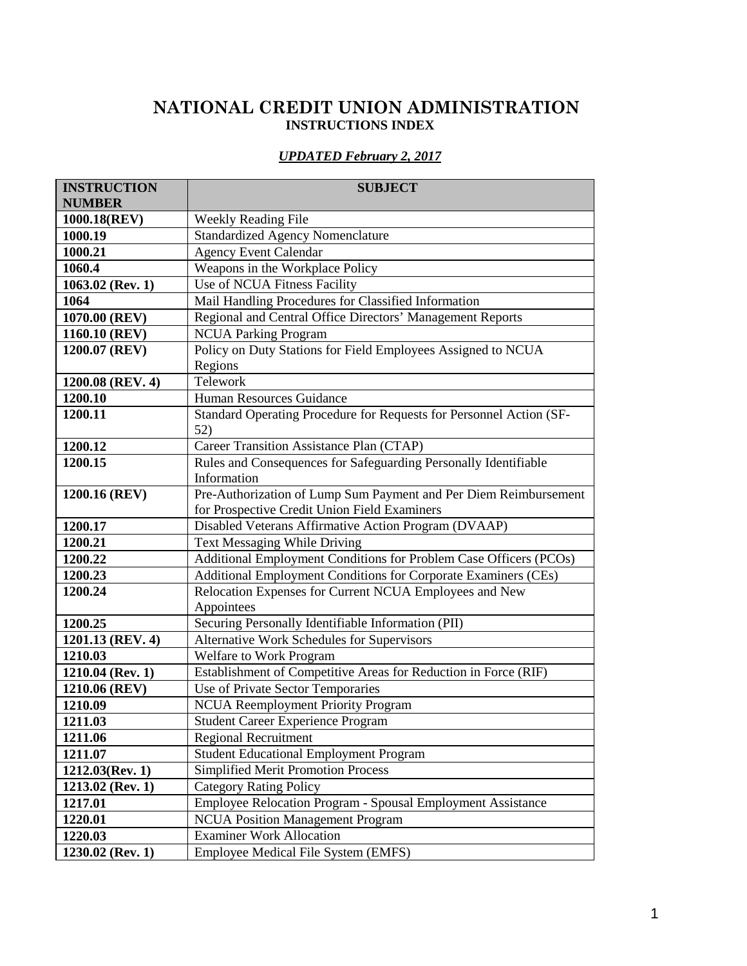## **NATIONAL CREDIT UNION ADMINISTRATION INSTRUCTIONS INDEX**

## *UPDATED February 2, 2017*

| <b>INSTRUCTION</b><br><b>NUMBER</b> | <b>SUBJECT</b>                                                      |
|-------------------------------------|---------------------------------------------------------------------|
| 1000.18(REV)                        | Weekly Reading File                                                 |
| 1000.19                             | <b>Standardized Agency Nomenclature</b>                             |
| 1000.21                             | <b>Agency Event Calendar</b>                                        |
| 1060.4                              | Weapons in the Workplace Policy                                     |
| $1063.02$ (Rev. 1)                  | Use of NCUA Fitness Facility                                        |
| 1064                                | Mail Handling Procedures for Classified Information                 |
| 1070.00 (REV)                       | Regional and Central Office Directors' Management Reports           |
| 1160.10 (REV)                       | <b>NCUA Parking Program</b>                                         |
| 1200.07 (REV)                       | Policy on Duty Stations for Field Employees Assigned to NCUA        |
|                                     | Regions                                                             |
| 1200.08 (REV. 4)                    | Telework                                                            |
| 1200.10                             | Human Resources Guidance                                            |
| 1200.11                             | Standard Operating Procedure for Requests for Personnel Action (SF- |
|                                     | 52)                                                                 |
| 1200.12                             | Career Transition Assistance Plan (CTAP)                            |
| 1200.15                             | Rules and Consequences for Safeguarding Personally Identifiable     |
|                                     | Information                                                         |
| 1200.16 (REV)                       | Pre-Authorization of Lump Sum Payment and Per Diem Reimbursement    |
|                                     | for Prospective Credit Union Field Examiners                        |
| 1200.17                             | Disabled Veterans Affirmative Action Program (DVAAP)                |
| 1200.21                             | Text Messaging While Driving                                        |
| 1200.22                             | Additional Employment Conditions for Problem Case Officers (PCOs)   |
| 1200.23                             | Additional Employment Conditions for Corporate Examiners (CEs)      |
| 1200.24                             | Relocation Expenses for Current NCUA Employees and New              |
|                                     | Appointees                                                          |
| 1200.25                             | Securing Personally Identifiable Information (PII)                  |
| 1201.13 (REV. 4)                    | Alternative Work Schedules for Supervisors                          |
| 1210.03                             | Welfare to Work Program                                             |
| 1210.04 (Rev. 1)                    | Establishment of Competitive Areas for Reduction in Force (RIF)     |
| 1210.06 (REV)                       | Use of Private Sector Temporaries                                   |
| 1210.09                             | <b>NCUA Reemployment Priority Program</b>                           |
| 1211.03                             | <b>Student Career Experience Program</b>                            |
| 1211.06                             | <b>Regional Recruitment</b>                                         |
| 1211.07                             | Student Educational Employment Program                              |
| $1212.03$ (Rev. 1)                  | <b>Simplified Merit Promotion Process</b>                           |
| $1213.02$ (Rev. 1)                  | <b>Category Rating Policy</b>                                       |
| 1217.01                             | Employee Relocation Program - Spousal Employment Assistance         |
| 1220.01                             | <b>NCUA</b> Position Management Program                             |
| 1220.03                             | <b>Examiner Work Allocation</b>                                     |
| $1230.02$ (Rev. 1)                  | Employee Medical File System (EMFS)                                 |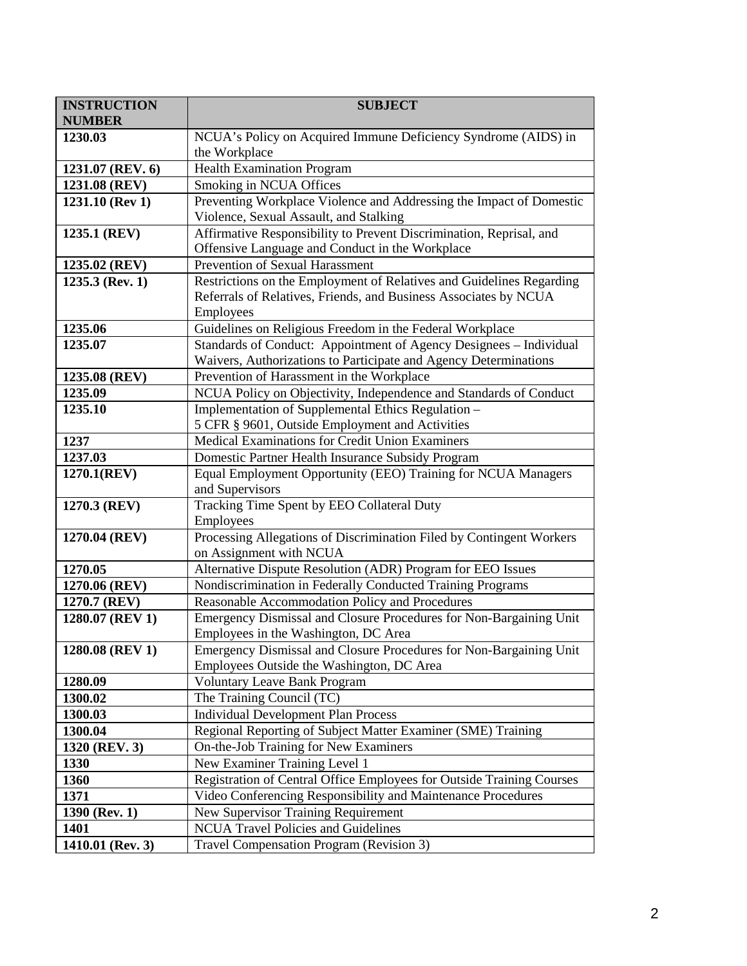| <b>INSTRUCTION</b><br><b>NUMBER</b> | <b>SUBJECT</b>                                                                                                     |
|-------------------------------------|--------------------------------------------------------------------------------------------------------------------|
| 1230.03                             | NCUA's Policy on Acquired Immune Deficiency Syndrome (AIDS) in                                                     |
|                                     | the Workplace                                                                                                      |
| 1231.07 (REV. 6)                    | <b>Health Examination Program</b>                                                                                  |
| 1231.08 (REV)                       | Smoking in NCUA Offices                                                                                            |
| 1231.10 (Rev 1)                     | Preventing Workplace Violence and Addressing the Impact of Domestic                                                |
|                                     | Violence, Sexual Assault, and Stalking                                                                             |
| 1235.1 (REV)                        | Affirmative Responsibility to Prevent Discrimination, Reprisal, and                                                |
|                                     | Offensive Language and Conduct in the Workplace                                                                    |
| 1235.02 (REV)                       | Prevention of Sexual Harassment                                                                                    |
| $1235.3$ (Rev. 1)                   | Restrictions on the Employment of Relatives and Guidelines Regarding                                               |
|                                     | Referrals of Relatives, Friends, and Business Associates by NCUA                                                   |
|                                     | Employees                                                                                                          |
| 1235.06                             | Guidelines on Religious Freedom in the Federal Workplace                                                           |
| 1235.07                             | Standards of Conduct: Appointment of Agency Designees - Individual                                                 |
|                                     | Waivers, Authorizations to Participate and Agency Determinations                                                   |
| 1235.08 (REV)                       | Prevention of Harassment in the Workplace                                                                          |
| 1235.09                             | NCUA Policy on Objectivity, Independence and Standards of Conduct                                                  |
| 1235.10                             | Implementation of Supplemental Ethics Regulation -                                                                 |
|                                     | 5 CFR § 9601, Outside Employment and Activities                                                                    |
| 1237                                | Medical Examinations for Credit Union Examiners                                                                    |
| 1237.03<br>1270.1(REV)              | Domestic Partner Health Insurance Subsidy Program<br>Equal Employment Opportunity (EEO) Training for NCUA Managers |
|                                     | and Supervisors                                                                                                    |
| 1270.3 (REV)                        | Tracking Time Spent by EEO Collateral Duty                                                                         |
|                                     | Employees                                                                                                          |
| 1270.04 (REV)                       | Processing Allegations of Discrimination Filed by Contingent Workers                                               |
|                                     | on Assignment with NCUA                                                                                            |
| 1270.05                             | Alternative Dispute Resolution (ADR) Program for EEO Issues                                                        |
| 1270.06 (REV)                       | Nondiscrimination in Federally Conducted Training Programs                                                         |
| 1270.7 (REV)                        | Reasonable Accommodation Policy and Procedures                                                                     |
| 1280.07 (REV 1)                     | Emergency Dismissal and Closure Procedures for Non-Bargaining Unit                                                 |
|                                     | Employees in the Washington, DC Area                                                                               |
| 1280.08 (REV 1)                     | Emergency Dismissal and Closure Procedures for Non-Bargaining Unit                                                 |
|                                     | Employees Outside the Washington, DC Area                                                                          |
| 1280.09                             | <b>Voluntary Leave Bank Program</b>                                                                                |
| 1300.02                             | The Training Council (TC)                                                                                          |
| 1300.03                             | <b>Individual Development Plan Process</b>                                                                         |
| 1300.04                             | Regional Reporting of Subject Matter Examiner (SME) Training                                                       |
| 1320 (REV. 3)                       | On-the-Job Training for New Examiners                                                                              |
| 1330                                | New Examiner Training Level 1                                                                                      |
| 1360                                | Registration of Central Office Employees for Outside Training Courses                                              |
| 1371                                | Video Conferencing Responsibility and Maintenance Procedures                                                       |
| 1390 (Rev. 1)                       | New Supervisor Training Requirement                                                                                |
| 1401                                | <b>NCUA Travel Policies and Guidelines</b>                                                                         |
| 1410.01 (Rev. 3)                    | Travel Compensation Program (Revision 3)                                                                           |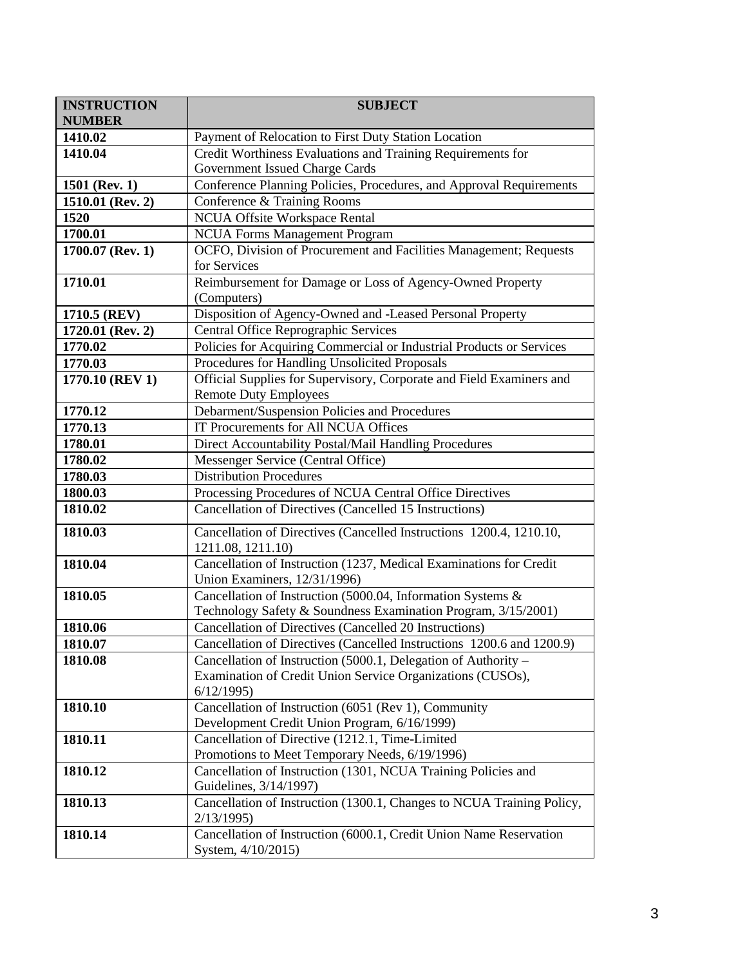| <b>INSTRUCTION</b><br><b>NUMBER</b> | <b>SUBJECT</b>                                                                           |
|-------------------------------------|------------------------------------------------------------------------------------------|
| 1410.02                             | Payment of Relocation to First Duty Station Location                                     |
| 1410.04                             | Credit Worthiness Evaluations and Training Requirements for                              |
|                                     | Government Issued Charge Cards                                                           |
| 1501 (Rev. 1)                       | Conference Planning Policies, Procedures, and Approval Requirements                      |
| 1510.01 (Rev. 2)                    | Conference & Training Rooms                                                              |
| 1520                                | <b>NCUA Offsite Workspace Rental</b>                                                     |
| 1700.01                             | <b>NCUA Forms Management Program</b>                                                     |
| 1700.07 (Rev. 1)                    | OCFO, Division of Procurement and Facilities Management; Requests                        |
|                                     | for Services                                                                             |
| 1710.01                             | Reimbursement for Damage or Loss of Agency-Owned Property                                |
|                                     | (Computers)                                                                              |
| 1710.5 (REV)                        | Disposition of Agency-Owned and -Leased Personal Property                                |
| 1720.01 (Rev. 2)                    | Central Office Reprographic Services                                                     |
| 1770.02                             | Policies for Acquiring Commercial or Industrial Products or Services                     |
| 1770.03                             | Procedures for Handling Unsolicited Proposals                                            |
| 1770.10 (REV 1)                     | Official Supplies for Supervisory, Corporate and Field Examiners and                     |
|                                     | <b>Remote Duty Employees</b>                                                             |
| 1770.12                             | Debarment/Suspension Policies and Procedures                                             |
| 1770.13                             | <b>IT Procurements for All NCUA Offices</b>                                              |
| 1780.01                             | Direct Accountability Postal/Mail Handling Procedures                                    |
| 1780.02                             | Messenger Service (Central Office)                                                       |
| 1780.03                             | <b>Distribution Procedures</b>                                                           |
| 1800.03                             | Processing Procedures of NCUA Central Office Directives                                  |
| 1810.02                             | Cancellation of Directives (Cancelled 15 Instructions)                                   |
| 1810.03                             | Cancellation of Directives (Cancelled Instructions 1200.4, 1210.10,<br>1211.08, 1211.10) |
| 1810.04                             | Cancellation of Instruction (1237, Medical Examinations for Credit                       |
|                                     | Union Examiners, 12/31/1996)                                                             |
| 1810.05                             | Cancellation of Instruction (5000.04, Information Systems &                              |
|                                     | Technology Safety & Soundness Examination Program, 3/15/2001)                            |
| 1810.06                             | Cancellation of Directives (Cancelled 20 Instructions)                                   |
| 1810.07                             | Cancellation of Directives (Cancelled Instructions 1200.6 and 1200.9)                    |
| 1810.08                             | Cancellation of Instruction (5000.1, Delegation of Authority –                           |
|                                     | Examination of Credit Union Service Organizations (CUSOs),                               |
|                                     | 6/12/1995                                                                                |
| 1810.10                             | Cancellation of Instruction (6051 (Rev 1), Community                                     |
|                                     | Development Credit Union Program, 6/16/1999)                                             |
| 1810.11                             | Cancellation of Directive (1212.1, Time-Limited                                          |
|                                     | Promotions to Meet Temporary Needs, 6/19/1996)                                           |
| 1810.12                             | Cancellation of Instruction (1301, NCUA Training Policies and                            |
|                                     | Guidelines, 3/14/1997)                                                                   |
| 1810.13                             | Cancellation of Instruction (1300.1, Changes to NCUA Training Policy,                    |
|                                     | 2/13/1995)                                                                               |
| 1810.14                             | Cancellation of Instruction (6000.1, Credit Union Name Reservation                       |
|                                     | System, 4/10/2015)                                                                       |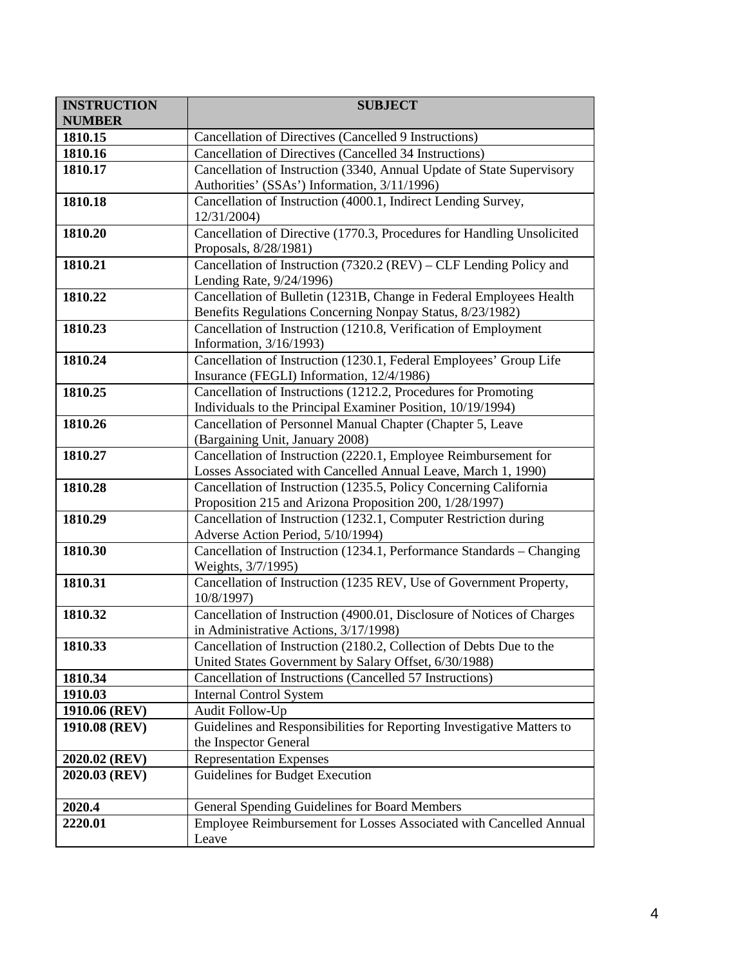| <b>INSTRUCTION</b> | <b>SUBJECT</b>                                                                                                                   |
|--------------------|----------------------------------------------------------------------------------------------------------------------------------|
| <b>NUMBER</b>      |                                                                                                                                  |
| 1810.15            | Cancellation of Directives (Cancelled 9 Instructions)                                                                            |
| 1810.16            | Cancellation of Directives (Cancelled 34 Instructions)                                                                           |
| 1810.17            | Cancellation of Instruction (3340, Annual Update of State Supervisory<br>Authorities' (SSAs') Information, 3/11/1996)            |
| 1810.18            | Cancellation of Instruction (4000.1, Indirect Lending Survey,<br>12/31/2004)                                                     |
| 1810.20            | Cancellation of Directive (1770.3, Procedures for Handling Unsolicited<br>Proposals, 8/28/1981)                                  |
| 1810.21            | Cancellation of Instruction (7320.2 (REV) – CLF Lending Policy and<br>Lending Rate, 9/24/1996)                                   |
| 1810.22            | Cancellation of Bulletin (1231B, Change in Federal Employees Health<br>Benefits Regulations Concerning Nonpay Status, 8/23/1982) |
| 1810.23            | Cancellation of Instruction (1210.8, Verification of Employment<br>Information, 3/16/1993)                                       |
| 1810.24            | Cancellation of Instruction (1230.1, Federal Employees' Group Life<br>Insurance (FEGLI) Information, 12/4/1986)                  |
| 1810.25            | Cancellation of Instructions (1212.2, Procedures for Promoting<br>Individuals to the Principal Examiner Position, 10/19/1994)    |
| 1810.26            | Cancellation of Personnel Manual Chapter (Chapter 5, Leave<br>(Bargaining Unit, January 2008)                                    |
| 1810.27            | Cancellation of Instruction (2220.1, Employee Reimbursement for<br>Losses Associated with Cancelled Annual Leave, March 1, 1990) |
| 1810.28            | Cancellation of Instruction (1235.5, Policy Concerning California<br>Proposition 215 and Arizona Proposition 200, 1/28/1997)     |
| 1810.29            | Cancellation of Instruction (1232.1, Computer Restriction during<br>Adverse Action Period, 5/10/1994)                            |
| 1810.30            | Cancellation of Instruction (1234.1, Performance Standards - Changing<br>Weights, 3/7/1995)                                      |
| 1810.31            | Cancellation of Instruction (1235 REV, Use of Government Property,<br>10/8/1997)                                                 |
| 1810.32            | Cancellation of Instruction (4900.01, Disclosure of Notices of Charges<br>in Administrative Actions, 3/17/1998)                  |
| 1810.33            | Cancellation of Instruction (2180.2, Collection of Debts Due to the<br>United States Government by Salary Offset, 6/30/1988)     |
| 1810.34            | Cancellation of Instructions (Cancelled 57 Instructions)                                                                         |
| 1910.03            | <b>Internal Control System</b>                                                                                                   |
| 1910.06 (REV)      | Audit Follow-Up                                                                                                                  |
| 1910.08 (REV)      | Guidelines and Responsibilities for Reporting Investigative Matters to<br>the Inspector General                                  |
| 2020.02 (REV)      | <b>Representation Expenses</b>                                                                                                   |
| 2020.03 (REV)      | Guidelines for Budget Execution                                                                                                  |
| 2020.4             | General Spending Guidelines for Board Members                                                                                    |
| 2220.01            | Employee Reimbursement for Losses Associated with Cancelled Annual<br>Leave                                                      |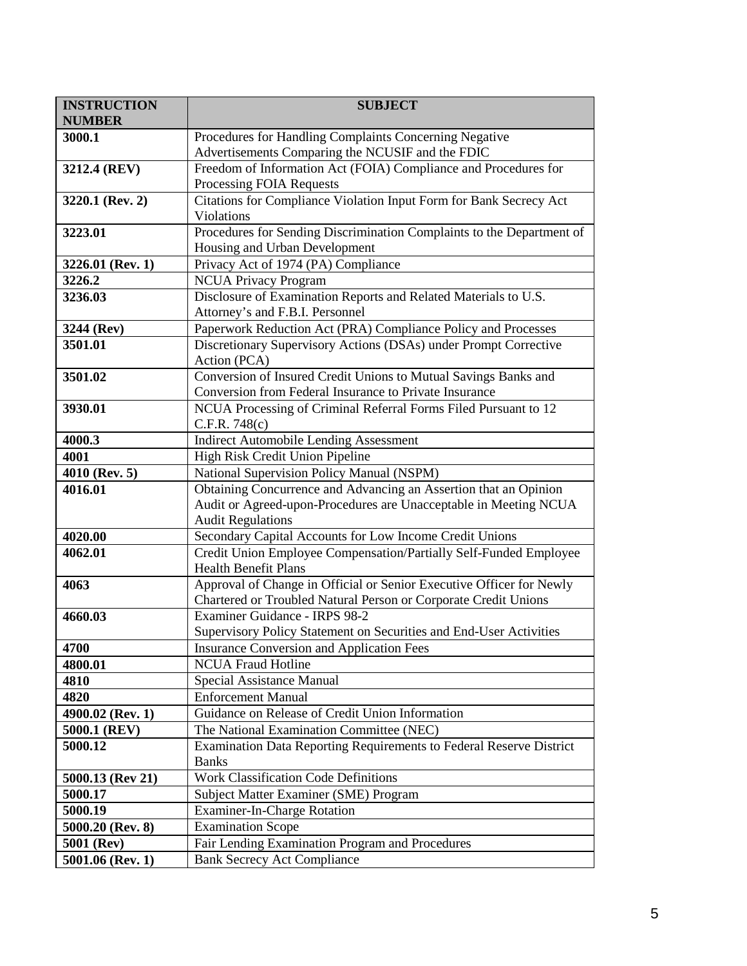| <b>INSTRUCTION</b>          | <b>SUBJECT</b>                                                                                         |
|-----------------------------|--------------------------------------------------------------------------------------------------------|
| <b>NUMBER</b>               |                                                                                                        |
| 3000.1                      | Procedures for Handling Complaints Concerning Negative                                                 |
|                             | Advertisements Comparing the NCUSIF and the FDIC                                                       |
| 3212.4 (REV)                | Freedom of Information Act (FOIA) Compliance and Procedures for                                        |
|                             | Processing FOIA Requests                                                                               |
| 3220.1 (Rev. 2)             | Citations for Compliance Violation Input Form for Bank Secrecy Act                                     |
| 3223.01                     | Violations                                                                                             |
|                             | Procedures for Sending Discrimination Complaints to the Department of<br>Housing and Urban Development |
| 3226.01 (Rev. 1)            | Privacy Act of 1974 (PA) Compliance                                                                    |
| 3226.2                      | <b>NCUA Privacy Program</b>                                                                            |
| 3236.03                     | Disclosure of Examination Reports and Related Materials to U.S.                                        |
|                             | Attorney's and F.B.I. Personnel                                                                        |
| 3244 (Rev)                  | Paperwork Reduction Act (PRA) Compliance Policy and Processes                                          |
| 3501.01                     | Discretionary Supervisory Actions (DSAs) under Prompt Corrective                                       |
|                             | Action (PCA)                                                                                           |
| 3501.02                     | Conversion of Insured Credit Unions to Mutual Savings Banks and                                        |
|                             | Conversion from Federal Insurance to Private Insurance                                                 |
| 3930.01                     | NCUA Processing of Criminal Referral Forms Filed Pursuant to 12                                        |
|                             | C.F.R. 748(c)                                                                                          |
| 4000.3                      | <b>Indirect Automobile Lending Assessment</b>                                                          |
| 4001                        | High Risk Credit Union Pipeline                                                                        |
| 4010 (Rev. 5)               | National Supervision Policy Manual (NSPM)                                                              |
| 4016.01                     | Obtaining Concurrence and Advancing an Assertion that an Opinion                                       |
|                             | Audit or Agreed-upon-Procedures are Unacceptable in Meeting NCUA<br><b>Audit Regulations</b>           |
| 4020.00                     | Secondary Capital Accounts for Low Income Credit Unions                                                |
| 4062.01                     | Credit Union Employee Compensation/Partially Self-Funded Employee                                      |
|                             | <b>Health Benefit Plans</b>                                                                            |
| 4063                        | Approval of Change in Official or Senior Executive Officer for Newly                                   |
|                             | Chartered or Troubled Natural Person or Corporate Credit Unions                                        |
| 4660.03                     | Examiner Guidance - IRPS 98-2                                                                          |
|                             | Supervisory Policy Statement on Securities and End-User Activities                                     |
| 4700                        | <b>Insurance Conversion and Application Fees</b>                                                       |
| 4800.01                     | <b>NCUA Fraud Hotline</b>                                                                              |
| 4810                        | Special Assistance Manual                                                                              |
| 4820                        | <b>Enforcement Manual</b>                                                                              |
| 4900.02 (Rev. 1)            | Guidance on Release of Credit Union Information                                                        |
| 5000.1 (REV)                | The National Examination Committee (NEC)                                                               |
| 5000.12                     | Examination Data Reporting Requirements to Federal Reserve District                                    |
|                             | <b>Banks</b><br><b>Work Classification Code Definitions</b>                                            |
| 5000.13 (Rev 21)<br>5000.17 | Subject Matter Examiner (SME) Program                                                                  |
| 5000.19                     | <b>Examiner-In-Charge Rotation</b>                                                                     |
| 5000.20 (Rev. 8)            | <b>Examination Scope</b>                                                                               |
| 5001 (Rev)                  | Fair Lending Examination Program and Procedures                                                        |
| 5001.06 (Rev. 1)            | <b>Bank Secrecy Act Compliance</b>                                                                     |
|                             |                                                                                                        |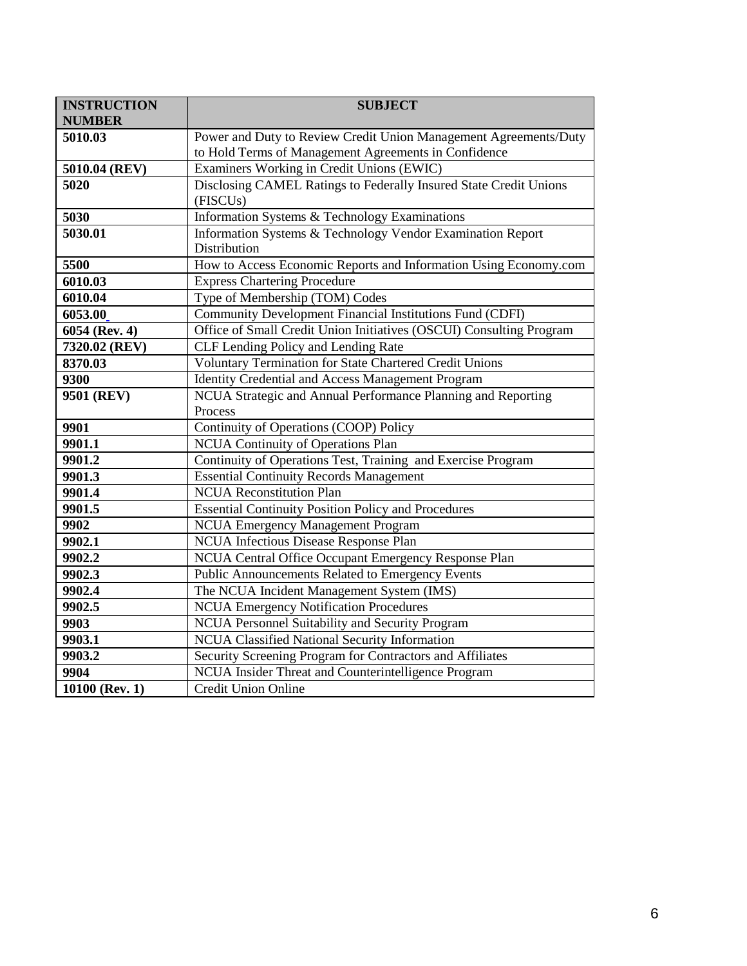| <b>INSTRUCTION</b> | <b>SUBJECT</b>                                                      |
|--------------------|---------------------------------------------------------------------|
| <b>NUMBER</b>      |                                                                     |
| 5010.03            | Power and Duty to Review Credit Union Management Agreements/Duty    |
|                    | to Hold Terms of Management Agreements in Confidence                |
| 5010.04 (REV)      | Examiners Working in Credit Unions (EWIC)                           |
| 5020               | Disclosing CAMEL Ratings to Federally Insured State Credit Unions   |
|                    | (FISCU <sub>s</sub> )                                               |
| 5030               | Information Systems & Technology Examinations                       |
| 5030.01            | Information Systems & Technology Vendor Examination Report          |
|                    | Distribution                                                        |
| 5500               | How to Access Economic Reports and Information Using Economy.com    |
| 6010.03            | <b>Express Chartering Procedure</b>                                 |
| 6010.04            | Type of Membership (TOM) Codes                                      |
| 6053.00            | Community Development Financial Institutions Fund (CDFI)            |
| 6054 (Rev. 4)      | Office of Small Credit Union Initiatives (OSCUI) Consulting Program |
| 7320.02 (REV)      | CLF Lending Policy and Lending Rate                                 |
| 8370.03            | Voluntary Termination for State Chartered Credit Unions             |
| 9300               | Identity Credential and Access Management Program                   |
| 9501 (REV)         | NCUA Strategic and Annual Performance Planning and Reporting        |
|                    | Process                                                             |
| 9901               | Continuity of Operations (COOP) Policy                              |
| 9901.1             | <b>NCUA Continuity of Operations Plan</b>                           |
| 9901.2             | Continuity of Operations Test, Training and Exercise Program        |
| 9901.3             | <b>Essential Continuity Records Management</b>                      |
| 9901.4             | <b>NCUA Reconstitution Plan</b>                                     |
| 9901.5             | <b>Essential Continuity Position Policy and Procedures</b>          |
| 9902               | <b>NCUA Emergency Management Program</b>                            |
| 9902.1             | NCUA Infectious Disease Response Plan                               |
| 9902.2             | NCUA Central Office Occupant Emergency Response Plan                |
| 9902.3             | Public Announcements Related to Emergency Events                    |
| 9902.4             | The NCUA Incident Management System (IMS)                           |
| 9902.5             | <b>NCUA Emergency Notification Procedures</b>                       |
| 9903               | NCUA Personnel Suitability and Security Program                     |
| 9903.1             | NCUA Classified National Security Information                       |
| 9903.2             | Security Screening Program for Contractors and Affiliates           |
| 9904               | NCUA Insider Threat and Counterintelligence Program                 |
| 10100 (Rev. 1)     | <b>Credit Union Online</b>                                          |